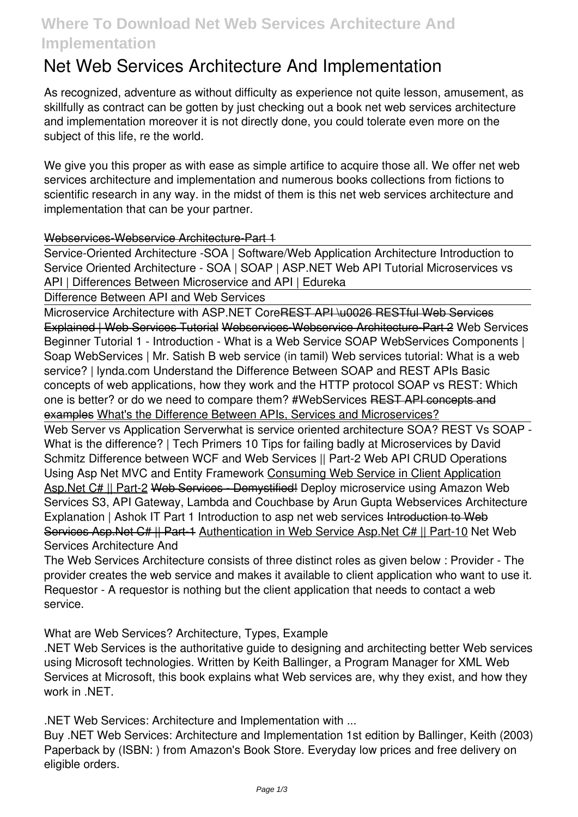# **Where To Download Net Web Services Architecture And Implementation**

# **Net Web Services Architecture And Implementation**

As recognized, adventure as without difficulty as experience not quite lesson, amusement, as skillfully as contract can be gotten by just checking out a book **net web services architecture and implementation** moreover it is not directly done, you could tolerate even more on the subject of this life, re the world.

We give you this proper as with ease as simple artifice to acquire those all. We offer net web services architecture and implementation and numerous books collections from fictions to scientific research in any way. in the midst of them is this net web services architecture and implementation that can be your partner.

#### Webservices-Webservice Architecture-Part 1

Service-Oriented Architecture -SOA | Software/Web Application Architecture Introduction to Service Oriented Architecture - SOA | SOAP | ASP.NET Web API Tutorial **Microservices vs API | Differences Between Microservice and API | Edureka**

Difference Between API and Web Services

Microservice Architecture with ASP.NET CoreREST API \u0026 RESTful Web Services Explained | Web Services Tutorial Webservices-Webservice Architecture-Part 2 Web Services Beginner Tutorial 1 - Introduction - What is a Web Service **SOAP WebServices Components | Soap WebServices | Mr. Satish B** *web service (in tamil)* Web services tutorial: What is a web service? | lynda.com *Understand the Difference Between SOAP and REST APIs Basic concepts of web applications, how they work and the HTTP protocol SOAP vs REST: Which one is better? or do we need to compare them? #WebServices* REST API concepts and examples What's the Difference Between APIs, Services and Microservices?

Web Server vs Application Server**what is service oriented architecture SOA? REST Vs SOAP - What is the difference? | Tech Primers 10 Tips for failing badly at Microservices by David Schmitz** *Difference between WCF and Web Services || Part-2 Web API CRUD Operations Using Asp Net MVC and Entity Framework* Consuming Web Service in Client Application Asp.Net C# || Part-2 Web Services - Demystified! *Deploy microservice using Amazon Web Services S3, API Gateway, Lambda and Couchbase by Arun Gupta* Webservices Architecture Explanation | Ashok IT *Part 1 Introduction to asp net web services* Introduction to Web Services Asp.Net C# || Part-1 Authentication in Web Service Asp.Net C# || Part-10 *Net Web Services Architecture And*

The Web Services Architecture consists of three distinct roles as given below : Provider - The provider creates the web service and makes it available to client application who want to use it. Requestor - A requestor is nothing but the client application that needs to contact a web service.

*What are Web Services? Architecture, Types, Example*

.NET Web Services is the authoritative guide to designing and architecting better Web services using Microsoft technologies. Written by Keith Ballinger, a Program Manager for XML Web Services at Microsoft, this book explains what Web services are, why they exist, and how they work in .NET.

*.NET Web Services: Architecture and Implementation with ...*

Buy .NET Web Services: Architecture and Implementation 1st edition by Ballinger, Keith (2003) Paperback by (ISBN: ) from Amazon's Book Store. Everyday low prices and free delivery on eligible orders.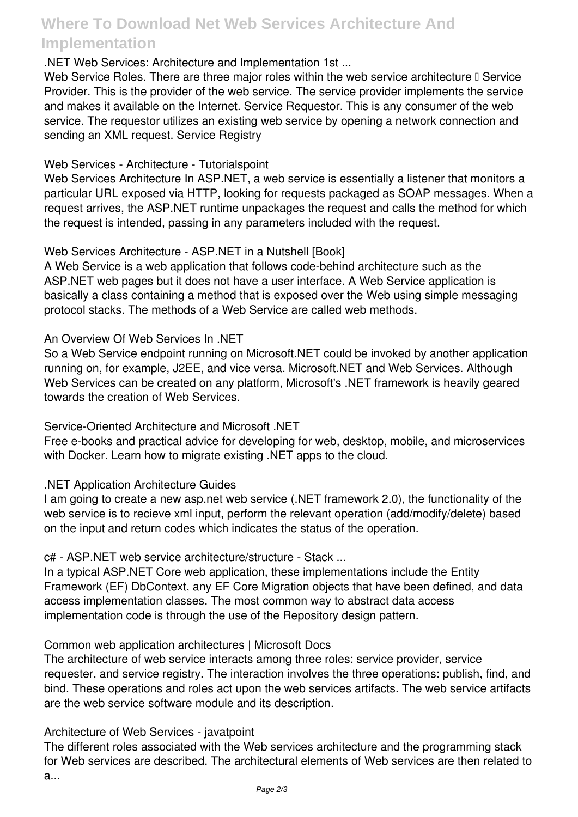# **Where To Download Net Web Services Architecture And Implementation**

## *.NET Web Services: Architecture and Implementation 1st ...*

Web Service Roles. There are three major roles within the web service architecture □ Service Provider. This is the provider of the web service. The service provider implements the service and makes it available on the Internet. Service Requestor. This is any consumer of the web service. The requestor utilizes an existing web service by opening a network connection and sending an XML request. Service Registry

## *Web Services - Architecture - Tutorialspoint*

Web Services Architecture In ASP.NET, a web service is essentially a listener that monitors a particular URL exposed via HTTP, looking for requests packaged as SOAP messages. When a request arrives, the ASP.NET runtime unpackages the request and calls the method for which the request is intended, passing in any parameters included with the request.

## *Web Services Architecture - ASP.NET in a Nutshell [Book]*

A Web Service is a web application that follows code-behind architecture such as the ASP.NET web pages but it does not have a user interface. A Web Service application is basically a class containing a method that is exposed over the Web using simple messaging protocol stacks. The methods of a Web Service are called web methods.

## *An Overview Of Web Services In .NET*

So a Web Service endpoint running on Microsoft.NET could be invoked by another application running on, for example, J2EE, and vice versa. Microsoft.NET and Web Services. Although Web Services can be created on any platform, Microsoft's .NET framework is heavily geared towards the creation of Web Services.

## *Service-Oriented Architecture and Microsoft .NET*

Free e-books and practical advice for developing for web, desktop, mobile, and microservices with Docker. Learn how to migrate existing .NET apps to the cloud.

## *.NET Application Architecture Guides*

I am going to create a new asp.net web service (.NET framework 2.0), the functionality of the web service is to recieve xml input, perform the relevant operation (add/modify/delete) based on the input and return codes which indicates the status of the operation.

## *c# - ASP.NET web service architecture/structure - Stack ...*

In a typical ASP.NET Core web application, these implementations include the Entity Framework (EF) DbContext, any EF Core Migration objects that have been defined, and data access implementation classes. The most common way to abstract data access implementation code is through the use of the Repository design pattern.

## *Common web application architectures | Microsoft Docs*

The architecture of web service interacts among three roles: service provider, service requester, and service registry. The interaction involves the three operations: publish, find, and bind. These operations and roles act upon the web services artifacts. The web service artifacts are the web service software module and its description.

## *Architecture of Web Services - javatpoint*

The different roles associated with the Web services architecture and the programming stack for Web services are described. The architectural elements of Web services are then related to a...